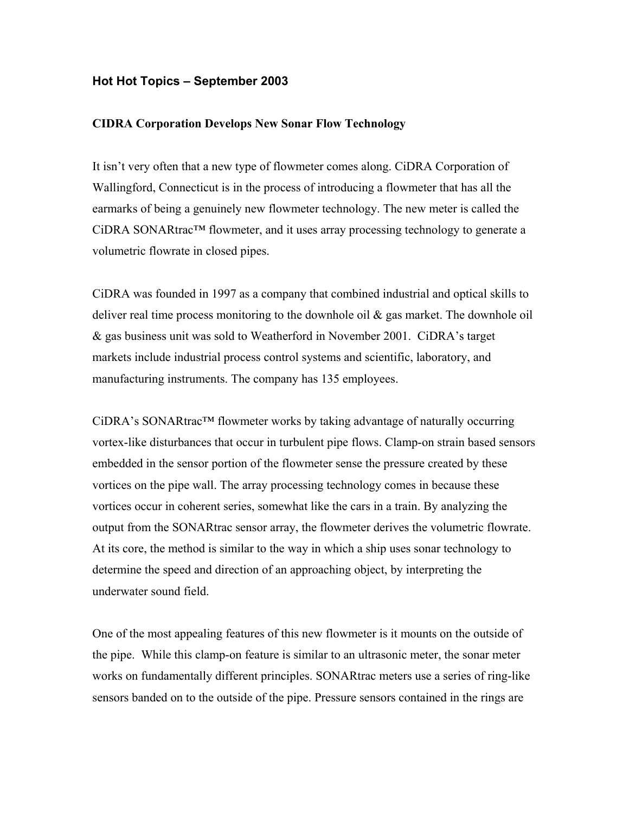## **Hot Hot Topics – September 2003**

## **CIDRA Corporation Develops New Sonar Flow Technology**

It isn't very often that a new type of flowmeter comes along. CiDRA Corporation of Wallingford, Connecticut is in the process of introducing a flowmeter that has all the earmarks of being a genuinely new flowmeter technology. The new meter is called the CiDRA SONARtrac™ flowmeter, and it uses array processing technology to generate a volumetric flowrate in closed pipes.

CiDRA was founded in 1997 as a company that combined industrial and optical skills to deliver real time process monitoring to the downhole oil & gas market. The downhole oil & gas business unit was sold to Weatherford in November 2001. CiDRA's target markets include industrial process control systems and scientific, laboratory, and manufacturing instruments. The company has 135 employees.

CiDRA's SONARtrac™ flowmeter works by taking advantage of naturally occurring vortex-like disturbances that occur in turbulent pipe flows. Clamp-on strain based sensors embedded in the sensor portion of the flowmeter sense the pressure created by these vortices on the pipe wall. The array processing technology comes in because these vortices occur in coherent series, somewhat like the cars in a train. By analyzing the output from the SONARtrac sensor array, the flowmeter derives the volumetric flowrate. At its core, the method is similar to the way in which a ship uses sonar technology to determine the speed and direction of an approaching object, by interpreting the underwater sound field.

One of the most appealing features of this new flowmeter is it mounts on the outside of the pipe. While this clamp-on feature is similar to an ultrasonic meter, the sonar meter works on fundamentally different principles. SONARtrac meters use a series of ring-like sensors banded on to the outside of the pipe. Pressure sensors contained in the rings are